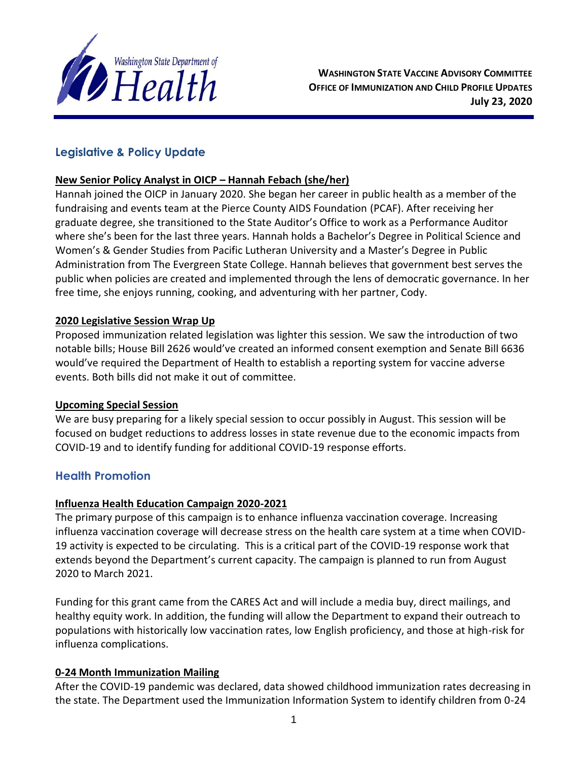

# **Legislative & Policy Update**

## **New Senior Policy Analyst in OICP – Hannah Febach (she/her)**

Hannah joined the OICP in January 2020. She began her career in public health as a member of the fundraising and events team at the Pierce County AIDS Foundation (PCAF). After receiving her graduate degree, she transitioned to the State Auditor's Office to work as a Performance Auditor where she's been for the last three years. Hannah holds a Bachelor's Degree in Political Science and Women's & Gender Studies from Pacific Lutheran University and a Master's Degree in Public Administration from The Evergreen State College. Hannah believes that government best serves the public when policies are created and implemented through the lens of democratic governance. In her free time, she enjoys running, cooking, and adventuring with her partner, Cody.

## **2020 Legislative Session Wrap Up**

Proposed immunization related legislation was lighter this session. We saw the introduction of two notable bills; House Bill 2626 would've created an informed consent exemption and Senate Bill 6636 would've required the Department of Health to establish a reporting system for vaccine adverse events. Both bills did not make it out of committee.

#### **Upcoming Special Session**

We are busy preparing for a likely special session to occur possibly in August. This session will be focused on budget reductions to address losses in state revenue due to the economic impacts from COVID-19 and to identify funding for additional COVID-19 response efforts.

## **Health Promotion**

## **Influenza Health Education Campaign 2020-2021**

The primary purpose of this campaign is to enhance influenza vaccination coverage. Increasing influenza vaccination coverage will decrease stress on the health care system at a time when COVID-19 activity is expected to be circulating. This is a critical part of the COVID-19 response work that extends beyond the Department's current capacity. The campaign is planned to run from August 2020 to March 2021.

Funding for this grant came from the CARES Act and will include a media buy, direct mailings, and healthy equity work. In addition, the funding will allow the Department to expand their outreach to populations with historically low vaccination rates, low English proficiency, and those at high-risk for influenza complications.

## **0-24 Month Immunization Mailing**

After the COVID-19 pandemic was declared, data showed childhood immunization rates decreasing in the state. The Department used the Immunization Information System to identify children from 0-24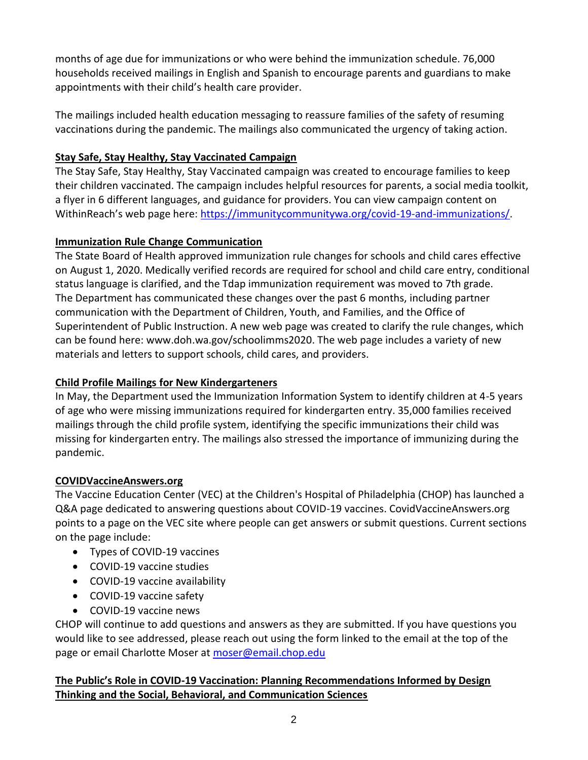months of age due for immunizations or who were behind the immunization schedule. 76,000 households received mailings in English and Spanish to encourage parents and guardians to make appointments with their child's health care provider.

The mailings included health education messaging to reassure families of the safety of resuming vaccinations during the pandemic. The mailings also communicated the urgency of taking action.

## **Stay Safe, Stay Healthy, Stay Vaccinated Campaign**

The Stay Safe, Stay Healthy, Stay Vaccinated campaign was created to encourage families to keep their children vaccinated. The campaign includes helpful resources for parents, a social media toolkit, a flyer in 6 different languages, and guidance for providers. You can view campaign content on WithinReach's web page here: [https://immunitycommunitywa.org/covid-19-and-immunizations/.](https://immunitycommunitywa.org/covid-19-and-immunizations/)

## **Immunization Rule Change Communication**

The State Board of Health approved immunization rule changes for schools and child cares effective on August 1, 2020. Medically verified records are required for school and child care entry, conditional status language is clarified, and the Tdap immunization requirement was moved to 7th grade. The Department has communicated these changes over the past 6 months, including partner communication with the Department of Children, Youth, and Families, and the Office of Superintendent of Public Instruction. A new web page was created to clarify the rule changes, which can be found here: www.doh.wa.gov/schoolimms2020. The web page includes a variety of new materials and letters to support schools, child cares, and providers.

# **Child Profile Mailings for New Kindergarteners**

In May, the Department used the Immunization Information System to identify children at 4-5 years of age who were missing immunizations required for kindergarten entry. 35,000 families received mailings through the child profile system, identifying the specific immunizations their child was missing for kindergarten entry. The mailings also stressed the importance of immunizing during the pandemic.

## **COVIDVaccineAnswers.org**

The Vaccine Education Center (VEC) at the Children's Hospital of Philadelphia (CHOP) has launched a Q&A page dedicated to answering questions about COVID-19 vaccines. CovidVaccineAnswers.org points to a page on the VEC site where people can get answers or submit questions. Current sections on the page include:

- Types of COVID-19 vaccines
- COVID-19 vaccine studies
- COVID-19 vaccine availability
- COVID-19 vaccine safety
- COVID-19 vaccine news

CHOP will continue to add questions and answers as they are submitted. If you have questions you would like to see addressed, please reach out using the form linked to the email at the top of the page or email Charlotte Moser at [moser@email.chop.edu](mailto:moser@email.chop.edu)

# **The Public's Role in COVID-19 Vaccination: Planning Recommendations Informed by Design Thinking and the Social, Behavioral, and Communication Sciences**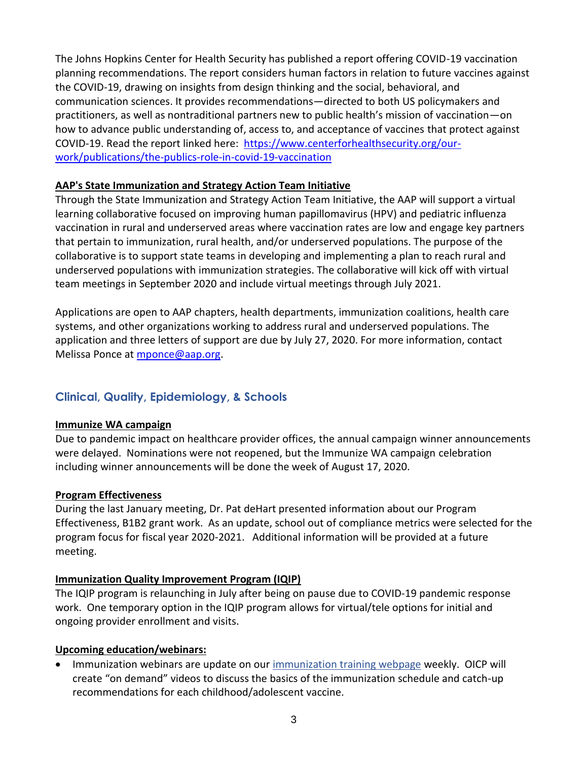The Johns Hopkins Center for Health Security has published a report offering COVID-19 vaccination planning recommendations. The report considers human factors in relation to future vaccines against the COVID-19, drawing on insights from design thinking and the social, behavioral, and communication sciences. It provides recommendations—directed to both US policymakers and practitioners, as well as nontraditional partners new to public health's mission of vaccination—on how to advance public understanding of, access to, and acceptance of vaccines that protect against COVID-19. Read the report linked here: [https://www.centerforhealthsecurity.org/our](https://www.centerforhealthsecurity.org/our-work/publications/the-publics-role-in-covid-19-vaccination)[work/publications/the-publics-role-in-covid-19-vaccination](https://www.centerforhealthsecurity.org/our-work/publications/the-publics-role-in-covid-19-vaccination)

#### **AAP's State Immunization and Strategy Action Team Initiative**

Through the State Immunization and Strategy Action Team Initiative, the AAP will support a virtual learning collaborative focused on improving human papillomavirus (HPV) and pediatric influenza vaccination in rural and underserved areas where vaccination rates are low and engage key partners that pertain to immunization, rural health, and/or underserved populations. The purpose of the collaborative is to support state teams in developing and implementing a plan to reach rural and underserved populations with immunization strategies. The collaborative will kick off with virtual team meetings in September 2020 and include virtual meetings through July 2021.

Applications are open to AAP chapters, health departments, immunization coalitions, health care systems, and other organizations working to address rural and underserved populations. The application and three letters of support are due by July 27, 2020. For more information, contact Melissa Ponce at [mponce@aap.org.](mailto:mponce@aap.org)

## **Clinical, Quality, Epidemiology, & Schools**

#### **Immunize WA campaign**

Due to pandemic impact on healthcare provider offices, the annual campaign winner announcements were delayed. Nominations were not reopened, but the Immunize WA campaign celebration including winner announcements will be done the week of August 17, 2020.

#### **Program Effectiveness**

During the last January meeting, Dr. Pat deHart presented information about our Program Effectiveness, B1B2 grant work. As an update, school out of compliance metrics were selected for the program focus for fiscal year 2020-2021. Additional information will be provided at a future meeting.

#### **Immunization Quality Improvement Program (IQIP)**

The IQIP program is relaunching in July after being on pause due to COVID-19 pandemic response work. One temporary option in the IQIP program allows for virtual/tele options for initial and ongoing provider enrollment and visits.

#### **Upcoming education/webinars:**

• Immunization webinars are update on our [immunization training webpage](https://www.doh.wa.gov/YouandYourFamily/Immunization/ImmunizationNews/ImmunizationTraining) weekly. OICP will create "on demand" videos to discuss the basics of the immunization schedule and catch-up recommendations for each childhood/adolescent vaccine.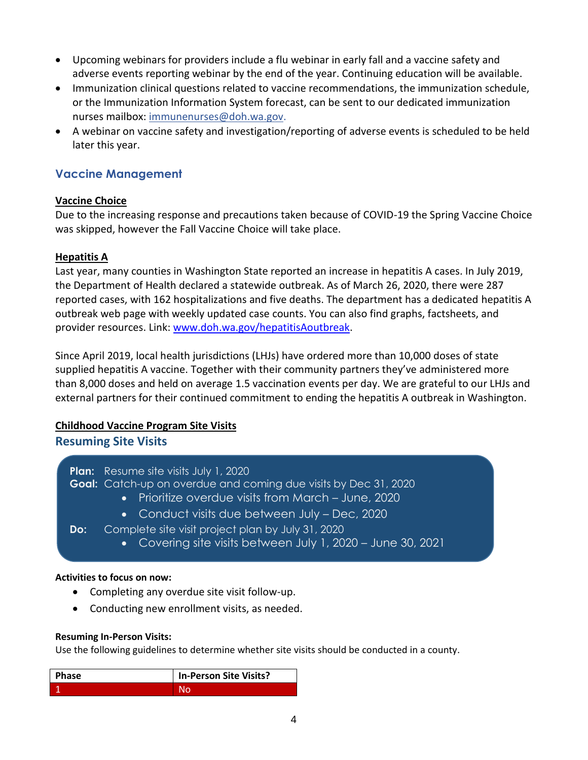- Upcoming webinars for providers include a flu webinar in early fall and a vaccine safety and adverse events reporting webinar by the end of the year. Continuing education will be available.
- Immunization clinical questions related to vaccine recommendations, the immunization schedule, or the Immunization Information System forecast, can be sent to our dedicated immunization nurses mailbox: [immunenurses@doh.wa.gov.](mailto:immunenurses@doh.wa.gov)
- A webinar on vaccine safety and investigation/reporting of adverse events is scheduled to be held later this year.

## **Vaccine Management**

## **Vaccine Choice**

Due to the increasing response and precautions taken because of COVID-19 the Spring Vaccine Choice was skipped, however the Fall Vaccine Choice will take place.

## **Hepatitis A**

Last year, many counties in Washington State reported an increase in hepatitis A cases. In July 2019, the Department of Health declared a statewide outbreak. As of March 26, 2020, there were 287 reported cases, with 162 hospitalizations and five deaths. The department has a dedicated hepatitis A outbreak web page with weekly updated case counts. You can also find graphs, factsheets, and provider resources. Link: [www.doh.wa.gov/hepatitisAoutbreak.](http://www.doh.wa.gov/hepatitisAoutbreak)

Since April 2019, local health jurisdictions (LHJs) have ordered more than 10,000 doses of state supplied hepatitis A vaccine. Together with their community partners they've administered more than 8,000 doses and held on average 1.5 vaccination events per day. We are grateful to our LHJs and external partners for their continued commitment to ending the hepatitis A outbreak in Washington.

## **Childhood Vaccine Program Site Visits**

**Resuming Site Visits** 

**Plan:** Resume site visits July 1, 2020 **Goal:** Catch-up on overdue and coming due visits by Dec 31, 2020

- Prioritize overdue visits from March June, 2020
- Conduct visits due between July Dec, 2020
- **Do:** Complete site visit project plan by July 31, 2020
	- Covering site visits between July 1, 2020 June 30, 2021

#### **Activities to focus on now:**

- Completing any overdue site visit follow-up.
- Conducting new enrollment visits, as needed.

#### **Resuming In-Person Visits:**

Use the following guidelines to determine whether site visits should be conducted in a county.

| <b>Phase</b> | In-Person Site Visits? |
|--------------|------------------------|
|              |                        |